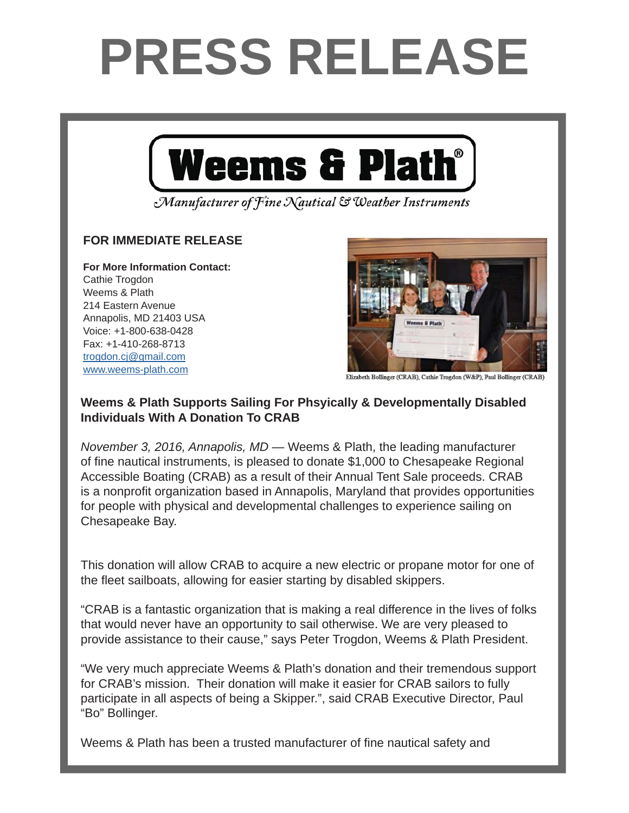## **PRESS RELEASE**



Manufacturer of Fine Nautical & Weather Instruments

## **FOR IMMEDIATE RELEASE FOR IMMEDIATE RELEASE**

**For More Information Contact: For More Information Contact:** Cathie Trogdon Weems & Plath 214 Eastern Avenue Annapolis, MD 21403 USA Voice: +1-800-638-0428 Fax: +1-410-268-8713 <u>trogdon.cj@gmail.com</u> www.weems-plath.com



Elizabeth Bollinger (CRAB), Cathie Trogdon (W&P), Paul Bollinger (CRAB)

## Weems & Plath Supports Sailing For Phsyically & Developmentally Disabled **Individuals With A Donation To CRAB**

November 3, 2016, Annapolis, MD — Weems & Plath, the leading manufacturer of fine nautical instruments, is pleased to donate \$1,000 to Chesapeake Regional and produced by 59 North, Ltd. The Annapolis-based company has informally supported Accessible Boating (CRAB) as a result of their Annual Tent Sale proceeds. CRAB is a nonprofit organization based in Annapolis, Maryland that provides opportunities for people with physical and developmental challenges to experience sailing on "I got hooked on this great podcast during my commutes," says Weems & Plath Chesapeake Bay.

This donation will allow CRAB to acquire a new electric or propane motor for one of the fleet sailboats, allowing for easier starting by disabled skippers.

"CRAB is a fantastic organization that is making a real difference in the lives of folks that would never have an opportunity to sail otherwise. We are very pleased to  $P_{\text{tot}}$  and  $P_{\text{tot}}$  and  $P_{\text{tot}}$  or  $P_{\text{tot}}$  or  $P_{\text{tot}}$  and  $P_{\text{tot}}$  and  $P_{\text{tot}}$  and  $P_{\text{tot}}$  is the state  $P_{\text{tot}}$  of  $P_{\text{tot}}$  and  $P_{\text{tot}}$  and  $P_{\text{tot}}$  and  $P_{\text{tot}}$  and  $P_{\text{tot}}$  are  $P_{\text{tot}}$  and  $P_{\text$ provide assistance to their cause," says Peter Trogdon, Weems & Plath President.

"We very much appreciate Weems & Plath's donation and their tremendous support for CRAB's mission. Their donation will make it easier for CRAB sailors to fully the Wind has released 173 episodes, which in turn have participate in all aspects of being a Skipper.", said CRAB Executive Director, Paul<br>"Pa" Pallianas publishes weekly on Tuesdays and is free to listeners, who subscribe online or throughout or through "Bo" Bollinger.

Andy Schell. "Peter is an early adapter and caught onto to the podcast technology very

Weems & Plath has been a trusted manufacturer of fine nautical safety and